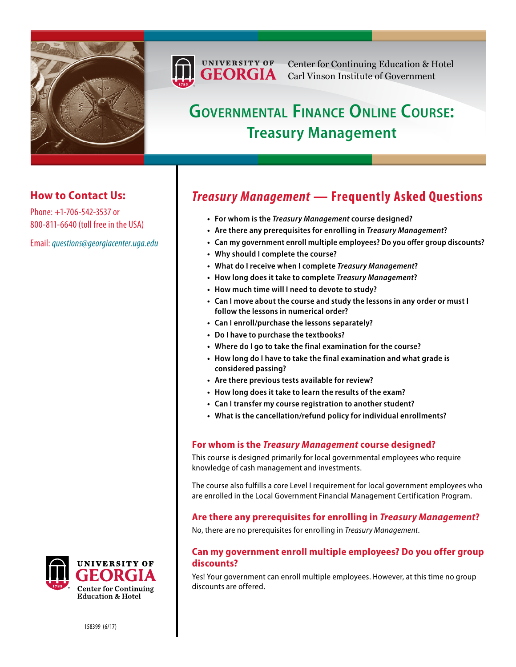



Center for Continuing Education & Hotel Carl Vinson Institute of Government

# **Governmental Finance Online Course: Treasury Management**

## **How to Contact Us:**

Phone: +1-706-542-3537 or 800-811-6640 (toll free in the USA)

Email: *[questions@georgiacenter.uga.edu](mailto:questions@georgiacenter.uga.edu?Subject=Treasury Management inquiry)*



- **• For whom is the** *[Treasury Management](#page-0-0)* **course designed?**
- **• [Are there any prerequisites for enrolling in](#page-0-1)** *Treasury Management***?**
- **• [Can my government enroll multiple employees? Do you offer group discounts](#page-0-2)?**
- **• [Why should I complete the course?](#page-1-0)**
- **• [What do I receive when I complete](#page-1-1)** *Treasury Management***?**
- **• [How long does it take to complete](#page-1-2)** *Treasury Management***?**
- **• [How much time will I need to devote to study](#page-1-3)?**
- **• [Can I move about the course and study the lessons in any order or must I](#page-1-4)  [follow the lessons in numerical order](#page-1-4)?**
- **• [Can I enroll/purchase the lessons separately?](#page-1-5)**
- **• [Do I have to purchase the textbooks](#page-1-6)?**
- **• [Where do I go to take the final examination for the course?](#page-1-7)**
- **• [How long do I have to take the final examination and what grade is](#page-1-8)  [considered passing?](#page-1-8)**
- **• [Are there previous tests available for review?](#page-2-0)**
- **• [How long does it take to learn the results of the exam](#page-2-1)?**
- **• [Can I transfer my course registration to another student?](#page-2-2)**
- **• [What is the cancellation/refund policy for individual enrollments?](#page-2-3)**

## <span id="page-0-0"></span>**For whom is the** *Treasury Management* **course designed?**

This course is designed primarily for local governmental employees who require knowledge of cash management and investments.

The course also fulfills a core Level I requirement for local government employees who are enrolled in the Local Government Financial Management Certification Program.

## <span id="page-0-1"></span>**Are there any prerequisites for enrolling in** *Treasury Management***?**

No, there are no prerequisites for enrolling in *Treasury Management*.

## <span id="page-0-2"></span>**Can my government enroll multiple employees? Do you offer group discounts?**

Yes! Your government can enroll multiple employees. However, at this time no group discounts are offered.



158399 (6/17)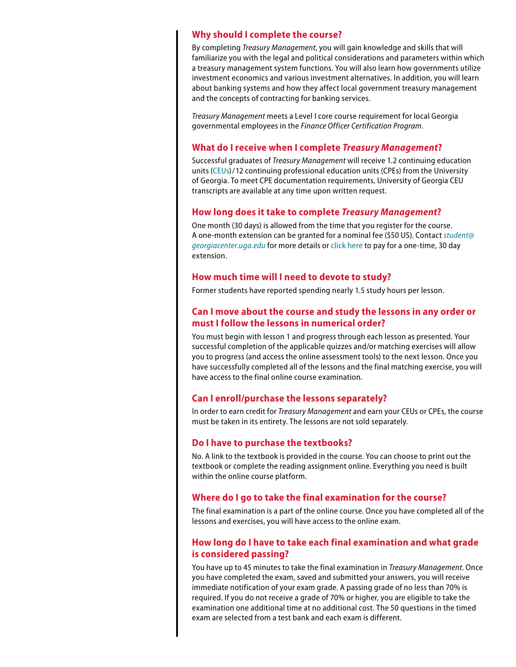#### <span id="page-1-0"></span>**Why should I complete the course?**

By completing *Treasury Management*, you will gain knowledge and skills that will familiarize you with the legal and political considerations and parameters within which a treasury management system functions. You will also learn how governments utilize investment economics and various investment alternatives. In addition, you will learn about banking systems and how they affect local government treasury management and the concepts of contracting for banking services.

*Treasury Management* meets a Level I core course requirement for local Georgia governmental employees in the *Finance Officer Certification Program*.

#### <span id="page-1-1"></span>**What do I receive when I complete** *Treasury Management***?**

Successful graduates of *Treasury Management* will receive 1.2 continuing education units ([CEUs](http://www.georgiacenter.uga.edu/about/ceu.phtml))/12 continuing professional education units (CPEs) from the University of Georgia. To meet CPE documentation requirements, University of Georgia CEU transcripts are available at any time upon written request.

#### <span id="page-1-2"></span>**How long does it take to complete** *Treasury Management***?**

One month (30 days) is allowed from the time that you register for the course. A one-month extension can be granted for a nominal fee (\$50 US). Contact *[student@](mailto:student@georgiacenter.uga.edu) [georgiacenter.uga.edu](mailto:student@georgiacenter.uga.edu)* for more details or [click here](https://webapps.georgiacenter.uga.edu/eRegistration/servlet/PersonInfo?eventNumber=67340) to pay for a one-time, 30 day extension.

#### <span id="page-1-3"></span>**How much time will I need to devote to study?**

Former students have reported spending nearly 1.5 study hours per lesson.

### <span id="page-1-4"></span>**Can I move about the course and study the lessons in any order or must I follow the lessons in numerical order?**

You must begin with lesson 1 and progress through each lesson as presented. Your successful completion of the applicable quizzes and/or matching exercises will allow you to progress (and access the online assessment tools) to the next lesson. Once you have successfully completed all of the lessons and the final matching exercise, you will have access to the final online course examination.

#### <span id="page-1-5"></span>**Can I enroll/purchase the lessons separately?**

In order to earn credit for *Treasury Management* and earn your CEUs or CPEs, the course must be taken in its entirety. The lessons are not sold separately.

#### <span id="page-1-6"></span>**Do I have to purchase the textbooks?**

No. A link to the textbook is provided in the course. You can choose to print out the textbook or complete the reading assignment online. Everything you need is built within the online course platform.

#### <span id="page-1-7"></span>**Where do I go to take the final examination for the course?**

The final examination is a part of the online course. Once you have completed all of the lessons and exercises, you will have access to the online exam.

## <span id="page-1-8"></span>**How long do I have to take each final examination and what grade is considered passing?**

You have up to 45 minutes to take the final examination in *Treasury Management*. Once you have completed the exam, saved and submitted your answers, you will receive immediate notification of your exam grade. A passing grade of no less than 70% is required. If you do not receive a grade of 70% or higher, you are eligible to take the examination one additional time at no additional cost. The 50 questions in the timed exam are selected from a test bank and each exam is different.